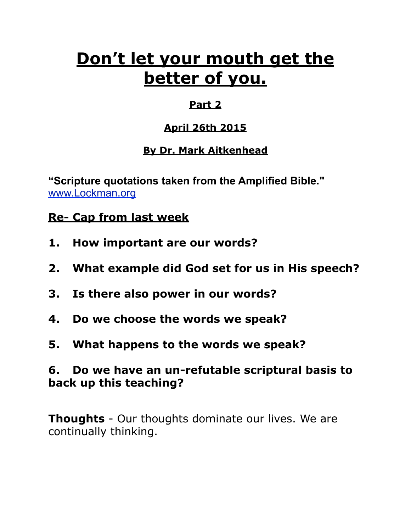# **Don't let your mouth get the better of you.**

# **Part 2**

# **April 26th 2015**

# **By Dr. Mark Aitkenhead**

**"Scripture quotations taken from the Amplified Bible."**  [www.Lockman.org](http://www.lockman.org/tlf/pqform.php)

# **Re- Cap from last week**

- **1. How important are our words?**
- **2. What example did God set for us in His speech?**
- **3. Is there also power in our words?**
- **4. Do we choose the words we speak?**
- **5. What happens to the words we speak?**

# **6. Do we have an un-refutable scriptural basis to back up this teaching?**

**Thoughts** - Our thoughts dominate our lives. We are continually thinking.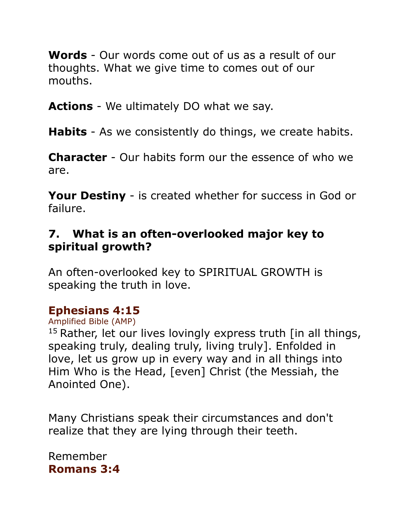**Words** - Our words come out of us as a result of our thoughts. What we give time to comes out of our mouths.

**Actions** - We ultimately DO what we say.

**Habits** - As we consistently do things, we create habits.

**Character** - Our habits form our the essence of who we are.

**Your Destiny** - is created whether for success in God or failure.

## **7. What is an often-overlooked major key to spiritual growth?**

An often-overlooked key to SPIRITUAL GROWTH is speaking the truth in love.

## **Ephesians 4:15**

Amplified Bible (AMP)

 $15$  Rather, let our lives lovingly express truth  $\int$  in all things, speaking truly, dealing truly, living truly]. Enfolded in love, let us grow up in every way and in all things into Him Who is the Head, [even] Christ (the Messiah, the Anointed One).

Many Christians speak their circumstances and don't realize that they are lying through their teeth.

Remember **Romans 3:4**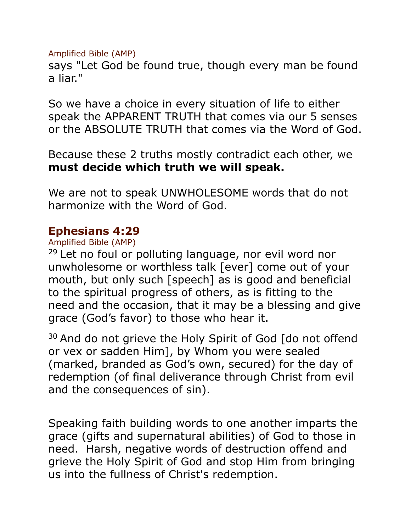Amplified Bible (AMP)

says "Let God be found true, though every man be found a liar."

So we have a choice in every situation of life to either speak the APPARENT TRUTH that comes via our 5 senses or the ABSOLUTE TRUTH that comes via the Word of God.

Because these 2 truths mostly contradict each other, we **must decide which truth we will speak.**

We are not to speak UNWHOLESOME words that do not harmonize with the Word of God.

### **Ephesians 4:29**

Amplified Bible (AMP)

 $29$  Let no foul or polluting language, nor evil word nor unwholesome or worthless talk [ever] come out of your mouth, but only such [speech] as is good and beneficial to the spiritual progress of others, as is fitting to the need and the occasion, that it may be a blessing and give grace (God's favor) to those who hear it.

 $30$  And do not grieve the Holy Spirit of God  $\lceil$  do not offend or vex or sadden Him], by Whom you were sealed (marked, branded as God's own, secured) for the day of redemption (of final deliverance through Christ from evil and the consequences of sin).

Speaking faith building words to one another imparts the grace (gifts and supernatural abilities) of God to those in need. Harsh, negative words of destruction offend and grieve the Holy Spirit of God and stop Him from bringing us into the fullness of Christ's redemption.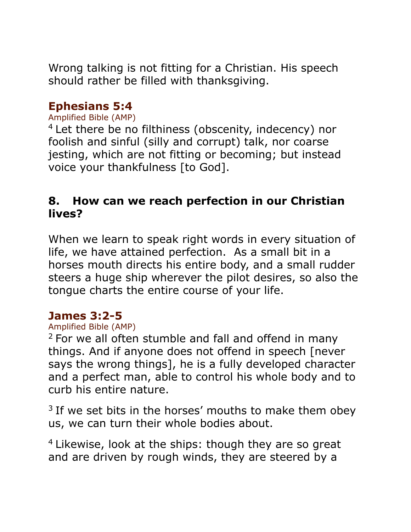Wrong talking is not fitting for a Christian. His speech should rather be filled with thanksgiving.

### **Ephesians 5:4**

#### Amplified Bible (AMP)

<sup>4</sup> Let there be no filthiness (obscenity, indecency) nor foolish and sinful (silly and corrupt) talk, nor coarse jesting, which are not fitting or becoming; but instead voice your thankfulness [to God].

### **8. How can we reach perfection in our Christian lives?**

When we learn to speak right words in every situation of life, we have attained perfection. As a small bit in a horses mouth directs his entire body, and a small rudder steers a huge ship wherever the pilot desires, so also the tongue charts the entire course of your life.

### **James 3:2-5**

#### Amplified Bible (AMP)

<sup>2</sup> For we all often stumble and fall and offend in many things. And if anyone does not offend in speech [never says the wrong things], he is a fully developed character and a perfect man, able to control his whole body and to curb his entire nature.

 $3$  If we set bits in the horses' mouths to make them obey us, we can turn their whole bodies about.

<sup>4</sup> Likewise, look at the ships: though they are so great and are driven by rough winds, they are steered by a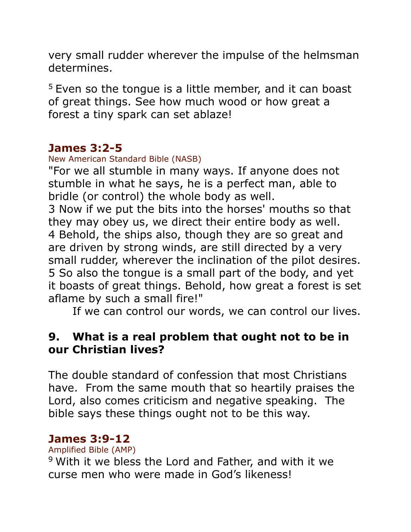very small rudder wherever the impulse of the helmsman determines.

 $5$  Even so the tongue is a little member, and it can boast of great things. See how much wood or how great a forest a tiny spark can set ablaze!

## **James 3:2-5**

New American Standard Bible (NASB)

"For we all stumble in many ways. If anyone does not stumble in what he says, he is a perfect man, able to bridle (or control) the whole body as well.

3 Now if we put the bits into the horses' mouths so that they may obey us, we direct their entire body as well. 4 Behold, the ships also, though they are so great and are driven by strong winds, are still directed by a very small rudder, wherever the inclination of the pilot desires. 5 So also the tongue is a small part of the body, and yet it boasts of great things. Behold, how great a forest is set aflame by such a small fire!"

If we can control our words, we can control our lives.

# **9. What is a real problem that ought not to be in our Christian lives?**

The double standard of confession that most Christians have. From the same mouth that so heartily praises the Lord, also comes criticism and negative speaking. The bible says these things ought not to be this way.

## **James 3:9-12**

Amplified Bible (AMP)

<sup>9</sup> With it we bless the Lord and Father, and with it we curse men who were made in God's likeness!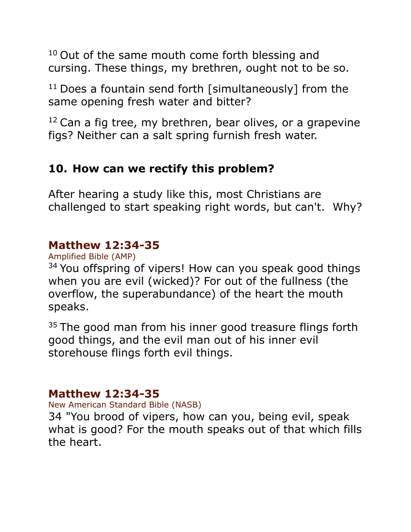<sup>10</sup> Out of the same mouth come forth blessing and cursing. These things, my brethren, ought not to be so.

 $11$  Does a fountain send forth [simultaneously] from the same opening fresh water and bitter?

 $12$  Can a fig tree, my brethren, bear olives, or a grapevine figs? Neither can a salt spring furnish fresh water.

# **10. How can we rectify this problem?**

After hearing a study like this, most Christians are challenged to start speaking right words, but can't. Why?

# **Matthew 12:34-35**

Amplified Bible (AMP)

<sup>34</sup> You offspring of vipers! How can you speak good things when you are evil (wicked)? For out of the fullness (the overflow, the superabundance) of the heart the mouth speaks.

<sup>35</sup> The good man from his inner good treasure flings forth good things, and the evil man out of his inner evil storehouse flings forth evil things.

# **Matthew 12:34-35**

New American Standard Bible (NASB)

34 "You brood of vipers, how can you, being evil, speak what is good? For the mouth speaks out of that which fills the heart.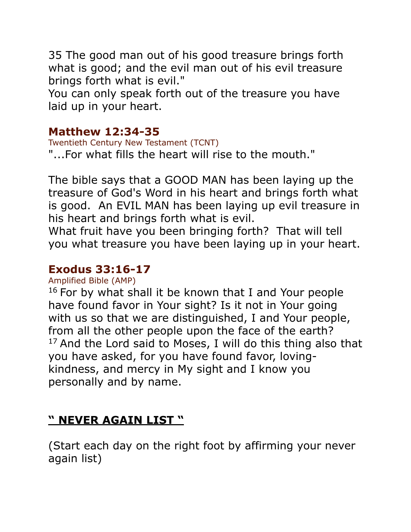35 The good man out of his good treasure brings forth what is good; and the evil man out of his evil treasure brings forth what is evil."

You can only speak forth out of the treasure you have laid up in your heart.

### **Matthew 12:34-35**

Twentieth Century New Testament (TCNT) "...For what fills the heart will rise to the mouth."

The bible says that a GOOD MAN has been laying up the treasure of God's Word in his heart and brings forth what is good. An EVIL MAN has been laying up evil treasure in his heart and brings forth what is evil.

What fruit have you been bringing forth? That will tell you what treasure you have been laying up in your heart.

## **Exodus 33:16-17**

Amplified Bible (AMP)

 $16$  For by what shall it be known that I and Your people have found favor in Your sight? Is it not in Your going with us so that we are distinguished, I and Your people, from all the other people upon the face of the earth?  $17$  And the Lord said to Moses, I will do this thing also that you have asked, for you have found favor, lovingkindness, and mercy in My sight and I know you personally and by name.

# **" NEVER AGAIN LIST "**

(Start each day on the right foot by affirming your never again list)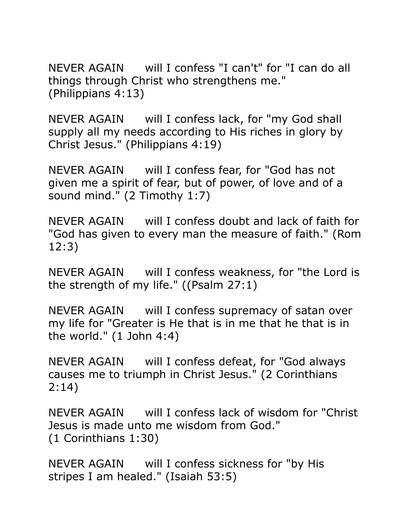NEVER AGAIN will I confess "I can't" for "I can do all things through Christ who strengthens me." (Philippians 4:13)

NEVER AGAIN will I confess lack, for "my God shall supply all my needs according to His riches in glory by Christ Jesus." (Philippians 4:19)

NEVER AGAIN will I confess fear, for "God has not given me a spirit of fear, but of power, of love and of a sound mind." (2 Timothy 1:7)

NEVER AGAIN will I confess doubt and lack of faith for "God has given to every man the measure of faith." (Rom 12:3)

NEVER AGAIN will I confess weakness, for "the Lord is the strength of my life." ((Psalm 27:1)

NEVER AGAIN will I confess supremacy of satan over my life for "Greater is He that is in me that he that is in the world."  $(1$  John 4:4)

NEVER AGAIN will I confess defeat, for "God always causes me to triumph in Christ Jesus." (2 Corinthians 2:14)

NEVER AGAIN will I confess lack of wisdom for "Christ Jesus is made unto me wisdom from God." (1 Corinthians 1:30)

NEVER AGAIN will I confess sickness for "by His stripes I am healed." (Isaiah 53:5)